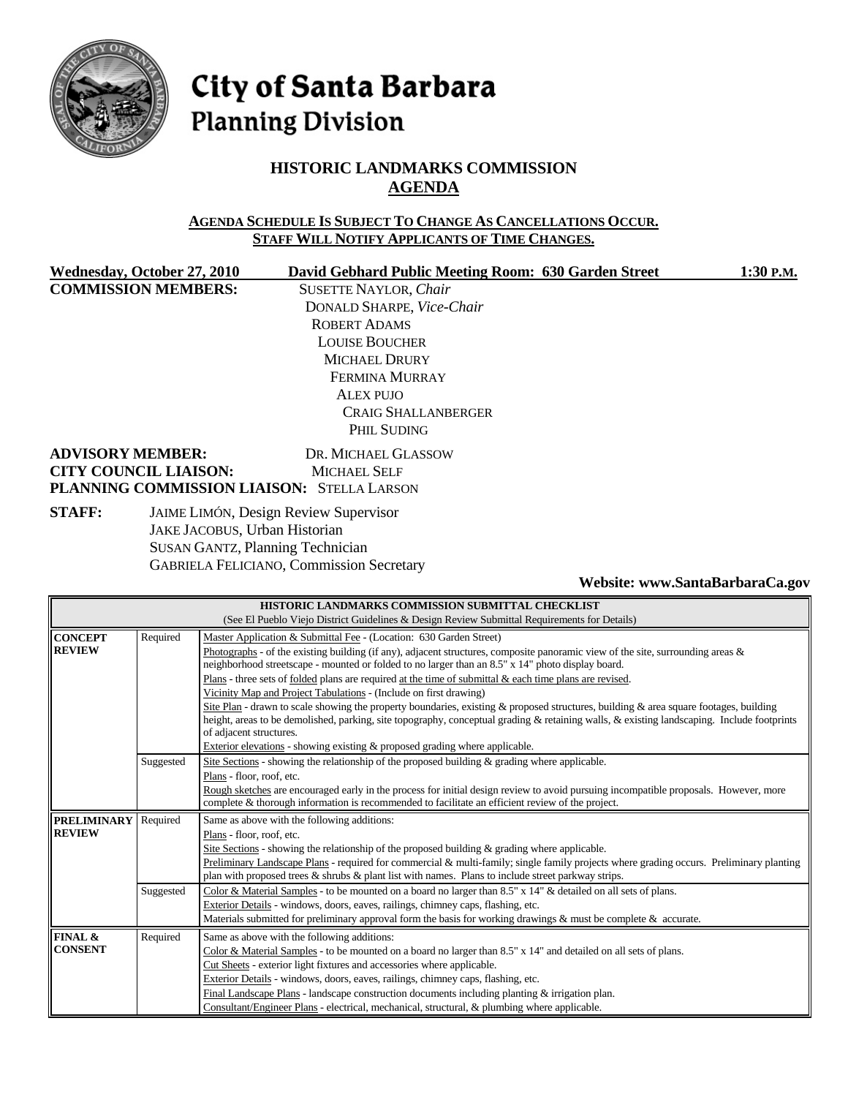

# City of Santa Barbara **Planning Division**

# **HISTORIC LANDMARKS COMMISSION AGENDA**

### **AGENDA SCHEDULE IS SUBJECT TO CHANGE AS CANCELLATIONS OCCUR. STAFF WILL NOTIFY APPLICANTS OF TIME CHANGES.**

**COMMISSION MEMBERS:** SUSETTE NAYLOR, *Chair*

Wednesday, October 27, 2010 David Gebhard Public Meeting Room: 630 Garden Street 1:30 P.M. DONALD SHARPE, *Vice-Chair* ROBERT ADAMS LOUISE BOUCHER MICHAEL DRURY FERMINA MURRAY ALEX PUJO CRAIG SHALLANBERGER PHIL SUDING

### **ADVISORY MEMBER:** DR. MICHAEL GLASSOW **CITY COUNCIL LIAISON:** MICHAEL SELF **PLANNING COMMISSION LIAISON:** STELLA LARSON

**STAFF:** JAIME LIMÓN, Design Review Supervisor JAKE JACOBUS, Urban Historian SUSAN GANTZ, Planning Technician GABRIELA FELICIANO, Commission Secretary

**Website: www.SantaBarbaraCa.gov** 

| HISTORIC LANDMARKS COMMISSION SUBMITTAL CHECKLIST                                            |                                                                                                            |                                                                                                                                            |  |  |  |  |
|----------------------------------------------------------------------------------------------|------------------------------------------------------------------------------------------------------------|--------------------------------------------------------------------------------------------------------------------------------------------|--|--|--|--|
| (See El Pueblo Viejo District Guidelines & Design Review Submittal Requirements for Details) |                                                                                                            |                                                                                                                                            |  |  |  |  |
| <b>CONCEPT</b>                                                                               | Required                                                                                                   | Master Application & Submittal Fee - (Location: 630 Garden Street)                                                                         |  |  |  |  |
| <b>REVIEW</b>                                                                                |                                                                                                            | Photographs - of the existing building (if any), adjacent structures, composite panoramic view of the site, surrounding areas $\&$         |  |  |  |  |
|                                                                                              |                                                                                                            | neighborhood streetscape - mounted or folded to no larger than an 8.5" x 14" photo display board.                                          |  |  |  |  |
|                                                                                              |                                                                                                            | Plans - three sets of <u>folded</u> plans are required at the time of submittal $\&$ each time plans are revised.                          |  |  |  |  |
|                                                                                              |                                                                                                            | Vicinity Map and Project Tabulations - (Include on first drawing)                                                                          |  |  |  |  |
|                                                                                              |                                                                                                            | Site Plan - drawn to scale showing the property boundaries, existing & proposed structures, building & area square footages, building      |  |  |  |  |
|                                                                                              |                                                                                                            | height, areas to be demolished, parking, site topography, conceptual grading & retaining walls, & existing landscaping. Include footprints |  |  |  |  |
|                                                                                              |                                                                                                            | of adjacent structures.                                                                                                                    |  |  |  |  |
|                                                                                              | Exterior elevations - showing existing & proposed grading where applicable.                                |                                                                                                                                            |  |  |  |  |
|                                                                                              | Site Sections - showing the relationship of the proposed building & grading where applicable.<br>Suggested |                                                                                                                                            |  |  |  |  |
|                                                                                              |                                                                                                            | Plans - floor, roof, etc.                                                                                                                  |  |  |  |  |
|                                                                                              |                                                                                                            | Rough sketches are encouraged early in the process for initial design review to avoid pursuing incompatible proposals. However, more       |  |  |  |  |
|                                                                                              |                                                                                                            | complete & thorough information is recommended to facilitate an efficient review of the project.                                           |  |  |  |  |
| <b>PRELIMINARY</b>                                                                           | Required                                                                                                   | Same as above with the following additions:                                                                                                |  |  |  |  |
| <b>REVIEW</b>                                                                                |                                                                                                            | Plans - floor, roof, etc.                                                                                                                  |  |  |  |  |
|                                                                                              |                                                                                                            | Site Sections - showing the relationship of the proposed building $\&$ grading where applicable.                                           |  |  |  |  |
|                                                                                              |                                                                                                            | Preliminary Landscape Plans - required for commercial & multi-family; single family projects where grading occurs. Preliminary planting    |  |  |  |  |
|                                                                                              |                                                                                                            | plan with proposed trees $\&$ shrubs $\&$ plant list with names. Plans to include street parkway strips.                                   |  |  |  |  |
|                                                                                              | Suggested                                                                                                  | Color & Material Samples - to be mounted on a board no larger than 8.5" x 14" & detailed on all sets of plans.                             |  |  |  |  |
|                                                                                              |                                                                                                            | Exterior Details - windows, doors, eaves, railings, chimney caps, flashing, etc.                                                           |  |  |  |  |
|                                                                                              |                                                                                                            | Materials submitted for preliminary approval form the basis for working drawings $\&$ must be complete $\&$ accurate.                      |  |  |  |  |
| <b>FINAL &amp;</b>                                                                           | Required                                                                                                   | Same as above with the following additions:                                                                                                |  |  |  |  |
| <b>CONSENT</b>                                                                               |                                                                                                            | Color & Material Samples - to be mounted on a board no larger than 8.5" x 14" and detailed on all sets of plans.                           |  |  |  |  |
|                                                                                              |                                                                                                            | Cut Sheets - exterior light fixtures and accessories where applicable.                                                                     |  |  |  |  |
|                                                                                              | Exterior Details - windows, doors, eaves, railings, chimney caps, flashing, etc.                           |                                                                                                                                            |  |  |  |  |
|                                                                                              |                                                                                                            | Final Landscape Plans - landscape construction documents including planting & irrigation plan.                                             |  |  |  |  |
|                                                                                              |                                                                                                            | Consultant/Engineer Plans - electrical, mechanical, structural, & plumbing where applicable.                                               |  |  |  |  |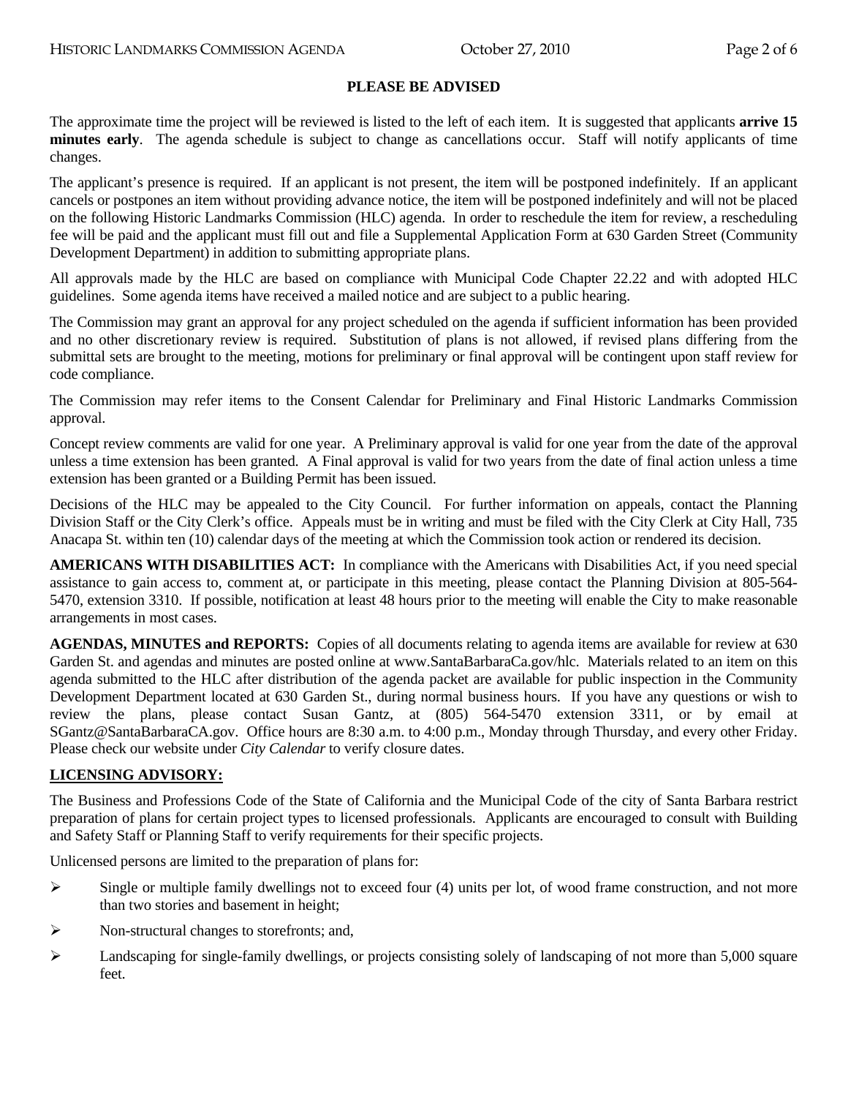### **PLEASE BE ADVISED**

The approximate time the project will be reviewed is listed to the left of each item. It is suggested that applicants **arrive 15 minutes early**. The agenda schedule is subject to change as cancellations occur. Staff will notify applicants of time changes.

The applicant's presence is required. If an applicant is not present, the item will be postponed indefinitely. If an applicant cancels or postpones an item without providing advance notice, the item will be postponed indefinitely and will not be placed on the following Historic Landmarks Commission (HLC) agenda. In order to reschedule the item for review, a rescheduling fee will be paid and the applicant must fill out and file a Supplemental Application Form at 630 Garden Street (Community Development Department) in addition to submitting appropriate plans.

All approvals made by the HLC are based on compliance with Municipal Code Chapter 22.22 and with adopted HLC guidelines. Some agenda items have received a mailed notice and are subject to a public hearing.

The Commission may grant an approval for any project scheduled on the agenda if sufficient information has been provided and no other discretionary review is required. Substitution of plans is not allowed, if revised plans differing from the submittal sets are brought to the meeting, motions for preliminary or final approval will be contingent upon staff review for code compliance.

The Commission may refer items to the Consent Calendar for Preliminary and Final Historic Landmarks Commission approval.

Concept review comments are valid for one year. A Preliminary approval is valid for one year from the date of the approval unless a time extension has been granted. A Final approval is valid for two years from the date of final action unless a time extension has been granted or a Building Permit has been issued.

Decisions of the HLC may be appealed to the City Council. For further information on appeals, contact the Planning Division Staff or the City Clerk's office. Appeals must be in writing and must be filed with the City Clerk at City Hall, 735 Anacapa St. within ten (10) calendar days of the meeting at which the Commission took action or rendered its decision.

**AMERICANS WITH DISABILITIES ACT:** In compliance with the Americans with Disabilities Act, if you need special assistance to gain access to, comment at, or participate in this meeting, please contact the Planning Division at 805-564- 5470, extension 3310. If possible, notification at least 48 hours prior to the meeting will enable the City to make reasonable arrangements in most cases.

**AGENDAS, MINUTES and REPORTS:** Copies of all documents relating to agenda items are available for review at 630 Garden St. and agendas and minutes are posted online at www.SantaBarbaraCa.gov/hlc. Materials related to an item on this agenda submitted to the HLC after distribution of the agenda packet are available for public inspection in the Community Development Department located at 630 Garden St., during normal business hours. If you have any questions or wish to review the plans, please contact Susan Gantz, at (805) 564-5470 extension 3311, or by email at SGantz@SantaBarbaraCA.gov. Office hours are 8:30 a.m. to 4:00 p.m., Monday through Thursday, and every other Friday. Please check our website under *City Calendar* to verify closure dates.

#### **LICENSING ADVISORY:**

The Business and Professions Code of the State of California and the Municipal Code of the city of Santa Barbara restrict preparation of plans for certain project types to licensed professionals. Applicants are encouraged to consult with Building and Safety Staff or Planning Staff to verify requirements for their specific projects.

Unlicensed persons are limited to the preparation of plans for:

- $\triangleright$  Single or multiple family dwellings not to exceed four (4) units per lot, of wood frame construction, and not more than two stories and basement in height;
- ¾ Non-structural changes to storefronts; and,
- $\blacktriangleright$  Landscaping for single-family dwellings, or projects consisting solely of landscaping of not more than 5,000 square feet.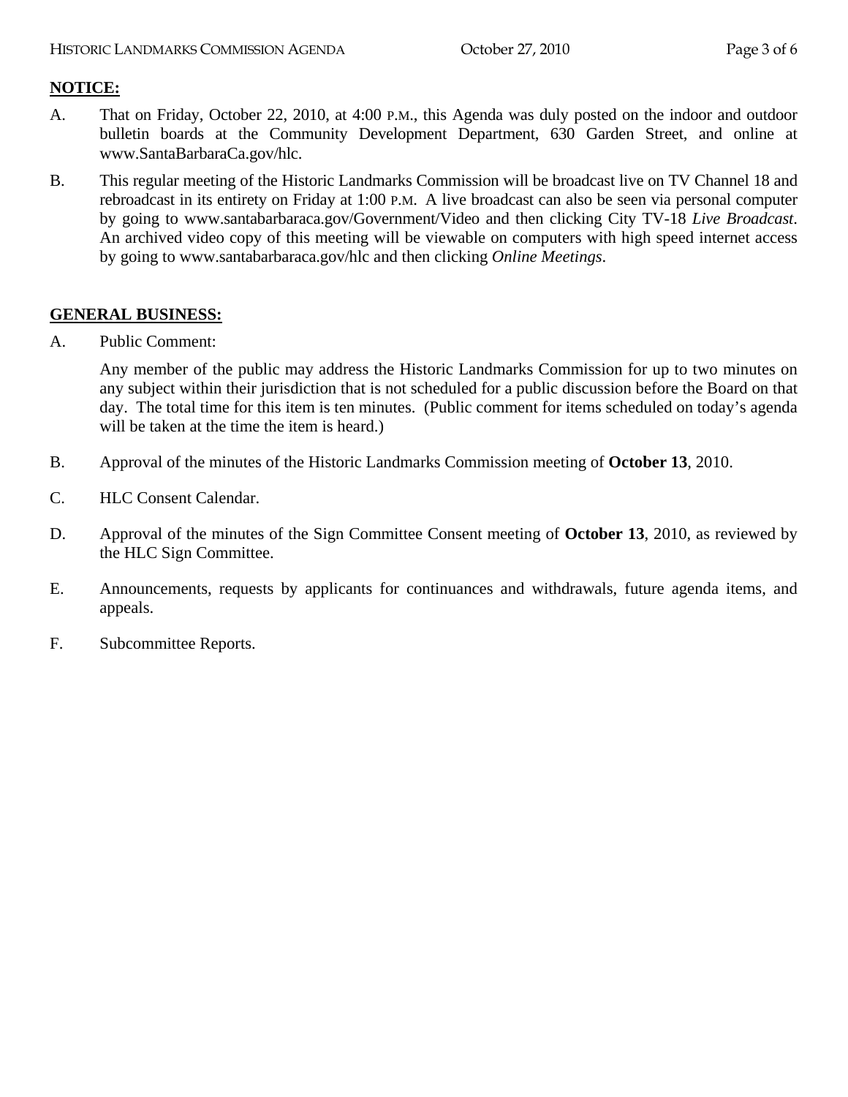### **NOTICE:**

- A. That on Friday, October 22, 2010, at 4:00 P.M., this Agenda was duly posted on the indoor and outdoor bulletin boards at the Community Development Department, 630 Garden Street, and online at www.SantaBarbaraCa.gov/hlc.
- B. This regular meeting of the Historic Landmarks Commission will be broadcast live on TV Channel 18 and rebroadcast in its entirety on Friday at 1:00 P.M. A live broadcast can also be seen via personal computer by going to www.santabarbaraca.gov/Government/Video and then clicking City TV-18 *Live Broadcast*. An archived video copy of this meeting will be viewable on computers with high speed internet access by going to www.santabarbaraca.gov/hlc and then clicking *Online Meetings*.

### **GENERAL BUSINESS:**

A. Public Comment:

Any member of the public may address the Historic Landmarks Commission for up to two minutes on any subject within their jurisdiction that is not scheduled for a public discussion before the Board on that day. The total time for this item is ten minutes. (Public comment for items scheduled on today's agenda will be taken at the time the item is heard.)

- B. Approval of the minutes of the Historic Landmarks Commission meeting of **October 13**, 2010.
- C. HLC Consent Calendar.
- D. Approval of the minutes of the Sign Committee Consent meeting of **October 13**, 2010, as reviewed by the HLC Sign Committee.
- E. Announcements, requests by applicants for continuances and withdrawals, future agenda items, and appeals.
- F. Subcommittee Reports.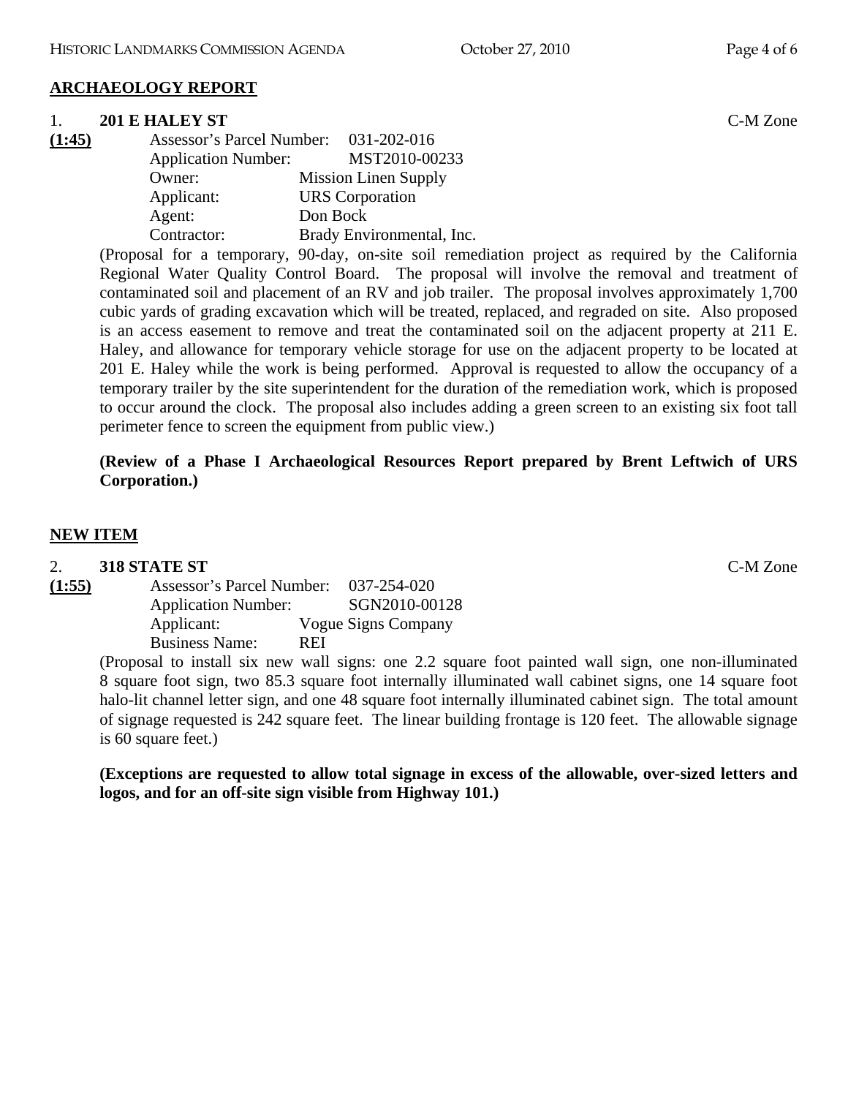## **ARCHAEOLOGY REPORT**

### 1. **201 E HALEY ST** C-M Zone

**(1:45)** Assessor's Parcel Number: 031-202-016 Application Number: MST2010-00233 Owner: Mission Linen Supply Applicant: URS Corporation Agent: Don Bock Contractor: Brady Environmental, Inc.

(Proposal for a temporary, 90-day, on-site soil remediation project as required by the California Regional Water Quality Control Board. The proposal will involve the removal and treatment of contaminated soil and placement of an RV and job trailer. The proposal involves approximately 1,700 cubic yards of grading excavation which will be treated, replaced, and regraded on site. Also proposed is an access easement to remove and treat the contaminated soil on the adjacent property at 211 E. Haley, and allowance for temporary vehicle storage for use on the adjacent property to be located at 201 E. Haley while the work is being performed. Approval is requested to allow the occupancy of a temporary trailer by the site superintendent for the duration of the remediation work, which is proposed to occur around the clock. The proposal also includes adding a green screen to an existing six foot tall perimeter fence to screen the equipment from public view.)

## **(Review of a Phase I Archaeological Resources Report prepared by Brent Leftwich of URS Corporation.)**

### **NEW ITEM**

2. **318 STATE ST** C-M Zone **(1:55)** Assessor's Parcel Number: 037-254-020 Application Number: SGN2010-00128 Applicant: Vogue Signs Company Business Name: REI

(Proposal to install six new wall signs: one 2.2 square foot painted wall sign, one non-illuminated 8 square foot sign, two 85.3 square foot internally illuminated wall cabinet signs, one 14 square foot halo-lit channel letter sign, and one 48 square foot internally illuminated cabinet sign. The total amount of signage requested is 242 square feet. The linear building frontage is 120 feet. The allowable signage is 60 square feet.)

**(Exceptions are requested to allow total signage in excess of the allowable, over-sized letters and logos, and for an off-site sign visible from Highway 101.)**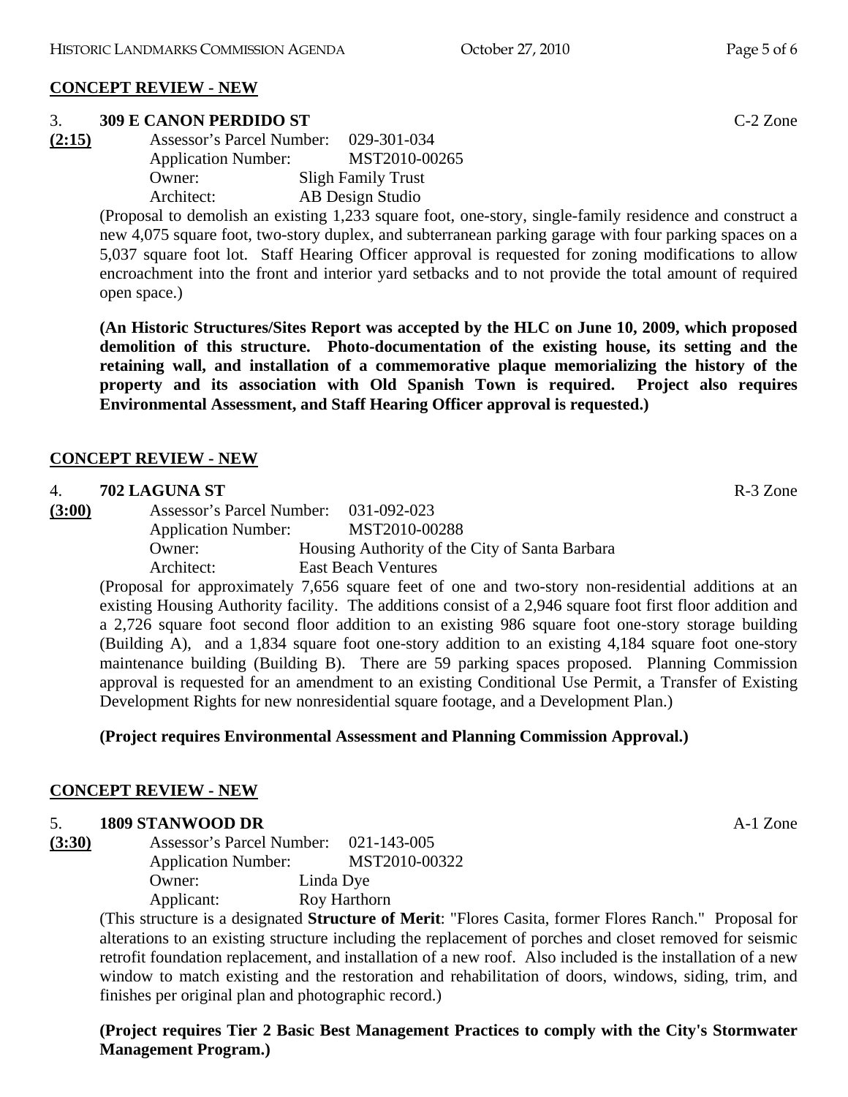#### **CONCEPT REVIEW - NEW**

#### 3. **309 E CANON PERDIDO ST** C-2 Zone

**(2:15)** Assessor's Parcel Number: 029-301-034 Application Number: MST2010-00265 Owner: Sligh Family Trust Architect: AB Design Studio

> (Proposal to demolish an existing 1,233 square foot, one-story, single-family residence and construct a new 4,075 square foot, two-story duplex, and subterranean parking garage with four parking spaces on a 5,037 square foot lot. Staff Hearing Officer approval is requested for zoning modifications to allow encroachment into the front and interior yard setbacks and to not provide the total amount of required open space.)

> **(An Historic Structures/Sites Report was accepted by the HLC on June 10, 2009, which proposed demolition of this structure. Photo-documentation of the existing house, its setting and the retaining wall, and installation of a commemorative plaque memorializing the history of the property and its association with Old Spanish Town is required. Project also requires Environmental Assessment, and Staff Hearing Officer approval is requested.)**

#### **CONCEPT REVIEW - NEW**

### 4. **702 LAGUNA ST** R-3 Zone

**(3:00)** Assessor's Parcel Number: 031-092-023 Application Number: MST2010-00288 Owner: Housing Authority of the City of Santa Barbara Architect: East Beach Ventures

(Proposal for approximately 7,656 square feet of one and two-story non-residential additions at an existing Housing Authority facility. The additions consist of a 2,946 square foot first floor addition and a 2,726 square foot second floor addition to an existing 986 square foot one-story storage building (Building A), and a 1,834 square foot one-story addition to an existing 4,184 square foot one-story maintenance building (Building B). There are 59 parking spaces proposed. Planning Commission approval is requested for an amendment to an existing Conditional Use Permit, a Transfer of Existing Development Rights for new nonresidential square footage, and a Development Plan.)

#### **(Project requires Environmental Assessment and Planning Commission Approval.)**

#### **CONCEPT REVIEW - NEW**

### 5. **1809 STANWOOD DR** A-1 Zone

| (3:30) | Assessor's Parcel Number:  |  | 021-143-005   |  |
|--------|----------------------------|--|---------------|--|
|        | <b>Application Number:</b> |  | MST2010-00322 |  |
|        | Owner:                     |  | Linda Dye     |  |
|        | Applicant:                 |  | Roy Harthorn  |  |

(This structure is a designated **Structure of Merit**: "Flores Casita, former Flores Ranch." Proposal for alterations to an existing structure including the replacement of porches and closet removed for seismic retrofit foundation replacement, and installation of a new roof. Also included is the installation of a new window to match existing and the restoration and rehabilitation of doors, windows, siding, trim, and finishes per original plan and photographic record.)

**(Project requires Tier 2 Basic Best Management Practices to comply with the City's Stormwater Management Program.)**